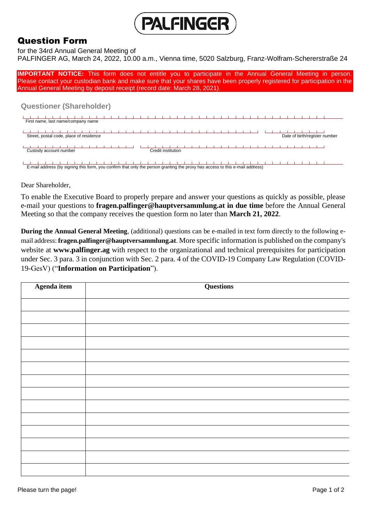

## Question Form

for the 34rd Annual General Meeting of

PALFINGER AG, March 24, 2022, 10.00 a.m., Vienna time, 5020 Salzburg, Franz-Wolfram-Schererstraße 24

**IMPORTANT NOTICE:** This form does not entitle you to participate in the Annual General Meeting in person. Please contact your custodian bank and make sure that your shares have been properly registered for participation in the Annual General Meeting by deposit receipt (record date: March 28, 2021).

## **Questioner (Shareholder)**

| First name, last name/company name      |                               |
|-----------------------------------------|-------------------------------|
|                                         |                               |
| Street, postal code, place of residence | Date of birth/register number |
|                                         |                               |
|                                         |                               |
| Custody account number                  | Credit institution            |

E-mail address (by signing this form, you confirm that only the person granting the proxy has access to this e-mail address)

Dear Shareholder,

To enable the Executive Board to properly prepare and answer your questions as quickly as possible, please e-mail your questions to **fragen.palfinger@hauptversammlung.at in due time** before the Annual General Meeting so that the company receives the question form no later than **March 21, 2022**.

**During the Annual General Meeting**, (additional) questions can be e-mailed in text form directly to the following email address: **fragen.palfinger@hauptversammlung.at**. More specific information is published on the company's website at **www.palfinger.ag** with respect to the organizational and technical prerequisites for participation under Sec. 3 para. 3 in conjunction with Sec. 2 para. 4 of the COVID-19 Company Law Regulation (COVID-19-GesV) ("**Information on Participation**").

| Agenda item | <b>Questions</b> |
|-------------|------------------|
|             |                  |
|             |                  |
|             |                  |
|             |                  |
|             |                  |
|             |                  |
|             |                  |
|             |                  |
|             |                  |
|             |                  |
|             |                  |
|             |                  |
|             |                  |
|             |                  |